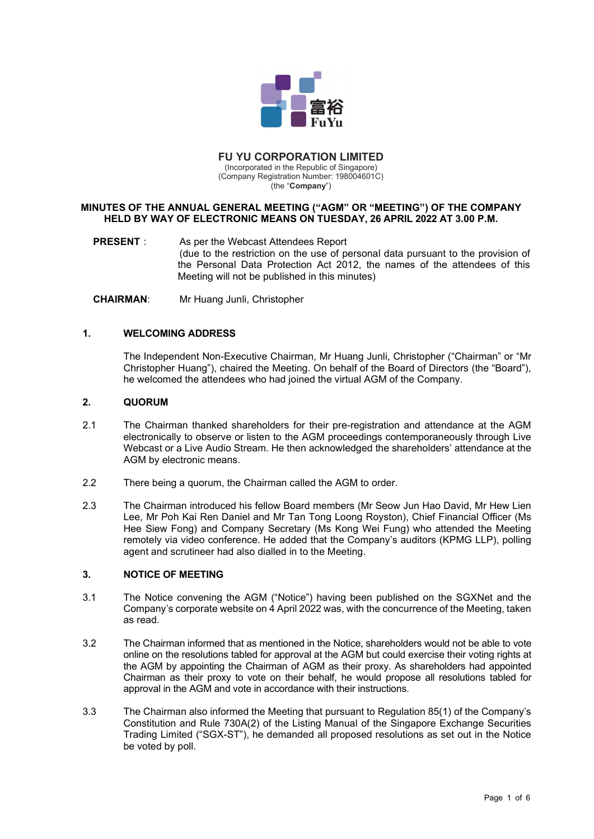

# FU YU CORPORATION LIMITED

(Incorporated in the Republic of Singapore) (Company Registration Number: 198004601C) (the "**Company**")

## MINUTES OF THE ANNUAL GENERAL MEETING ("AGM" OR "MEETING") OF THE COMPANY HELD BY WAY OF ELECTRONIC MEANS ON TUESDAY, 26 APRIL 2022 AT 3.00 P.M.

PRESENT : As per the Webcast Attendees Report (due to the restriction on the use of personal data pursuant to the provision of the Personal Data Protection Act 2012, the names of the attendees of this Meeting will not be published in this minutes)

CHAIRMAN: Mr Huang Junli, Christopher

# 1. WELCOMING ADDRESS

 The Independent Non-Executive Chairman, Mr Huang Junli, Christopher ("Chairman" or "Mr Christopher Huang"), chaired the Meeting. On behalf of the Board of Directors (the "Board"), he welcomed the attendees who had joined the virtual AGM of the Company.

# 2. QUORUM

- 2.1 The Chairman thanked shareholders for their pre-registration and attendance at the AGM electronically to observe or listen to the AGM proceedings contemporaneously through Live Webcast or a Live Audio Stream. He then acknowledged the shareholders' attendance at the AGM by electronic means.
- 2.2 There being a quorum, the Chairman called the AGM to order.
- 2.3 The Chairman introduced his fellow Board members (Mr Seow Jun Hao David, Mr Hew Lien Lee, Mr Poh Kai Ren Daniel and Mr Tan Tong Loong Royston), Chief Financial Officer (Ms Hee Siew Fong) and Company Secretary (Ms Kong Wei Fung) who attended the Meeting remotely via video conference. He added that the Company's auditors (KPMG LLP), polling agent and scrutineer had also dialled in to the Meeting.

# 3. NOTICE OF MEETING

- 3.1 The Notice convening the AGM ("Notice") having been published on the SGXNet and the Company's corporate website on 4 April 2022 was, with the concurrence of the Meeting, taken as read.
- 3.2 The Chairman informed that as mentioned in the Notice, shareholders would not be able to vote online on the resolutions tabled for approval at the AGM but could exercise their voting rights at the AGM by appointing the Chairman of AGM as their proxy. As shareholders had appointed Chairman as their proxy to vote on their behalf, he would propose all resolutions tabled for approval in the AGM and vote in accordance with their instructions.
- 3.3 The Chairman also informed the Meeting that pursuant to Regulation 85(1) of the Company's Constitution and Rule 730A(2) of the Listing Manual of the Singapore Exchange Securities Trading Limited ("SGX-ST"), he demanded all proposed resolutions as set out in the Notice be voted by poll.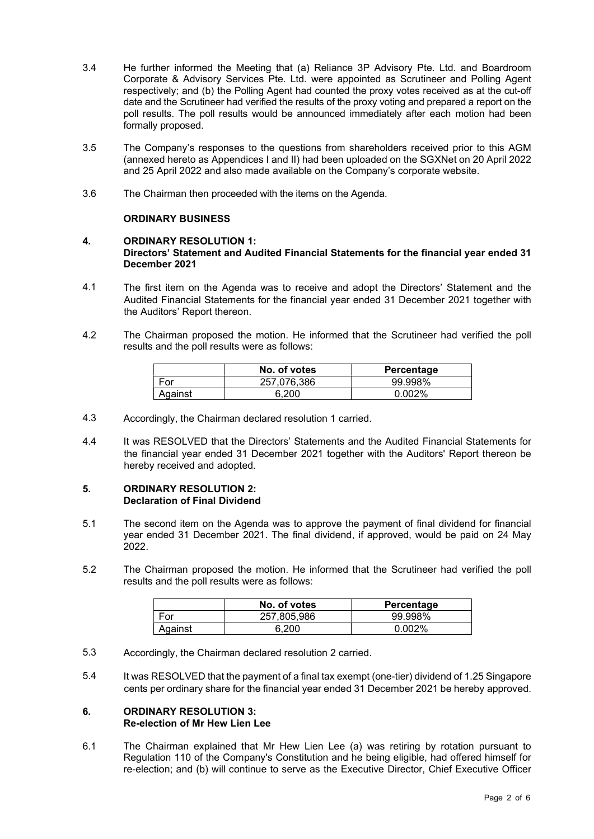- 3.4 He further informed the Meeting that (a) Reliance 3P Advisory Pte. Ltd. and Boardroom Corporate & Advisory Services Pte. Ltd. were appointed as Scrutineer and Polling Agent respectively; and (b) the Polling Agent had counted the proxy votes received as at the cut-off date and the Scrutineer had verified the results of the proxy voting and prepared a report on the poll results. The poll results would be announced immediately after each motion had been formally proposed.
- 3.5 The Company's responses to the questions from shareholders received prior to this AGM (annexed hereto as Appendices I and II) had been uploaded on the SGXNet on 20 April 2022 and 25 April 2022 and also made available on the Company's corporate website.
- 3.6 The Chairman then proceeded with the items on the Agenda.

# ORDINARY BUSINESS

## 4. ORDINARY RESOLUTION 1: Directors' Statement and Audited Financial Statements for the financial year ended 31 December 2021

- 4.1 The first item on the Agenda was to receive and adopt the Directors' Statement and the Audited Financial Statements for the financial year ended 31 December 2021 together with the Auditors' Report thereon.
- 4.2 The Chairman proposed the motion. He informed that the Scrutineer had verified the poll results and the poll results were as follows:

|         | No. of votes | Percentage |
|---------|--------------|------------|
| For     | 257.076.386  | 99.998%    |
| Aqainst | 6.200        | $0.002\%$  |

- 4.3 Accordingly, the Chairman declared resolution 1 carried.
- 4.4 It was RESOLVED that the Directors' Statements and the Audited Financial Statements for the financial year ended 31 December 2021 together with the Auditors' Report thereon be hereby received and adopted.

# 5. ORDINARY RESOLUTION 2: Declaration of Final Dividend

- 5.1 The second item on the Agenda was to approve the payment of final dividend for financial year ended 31 December 2021. The final dividend, if approved, would be paid on 24 May 2022.
- 5.2 The Chairman proposed the motion. He informed that the Scrutineer had verified the poll results and the poll results were as follows:

|         | No. of votes | Percentage |
|---------|--------------|------------|
| For     | 257.805.986  | 99.998%    |
| Against | 6.200        | $0.002\%$  |

- 5.3 Accordingly, the Chairman declared resolution 2 carried.
- 5.4 It was RESOLVED that the payment of a final tax exempt (one-tier) dividend of 1.25 Singapore cents per ordinary share for the financial year ended 31 December 2021 be hereby approved.

### 6. ORDINARY RESOLUTION 3: Re-election of Mr Hew Lien Lee

6.1 The Chairman explained that Mr Hew Lien Lee (a) was retiring by rotation pursuant to Regulation 110 of the Company's Constitution and he being eligible, had offered himself for re-election; and (b) will continue to serve as the Executive Director, Chief Executive Officer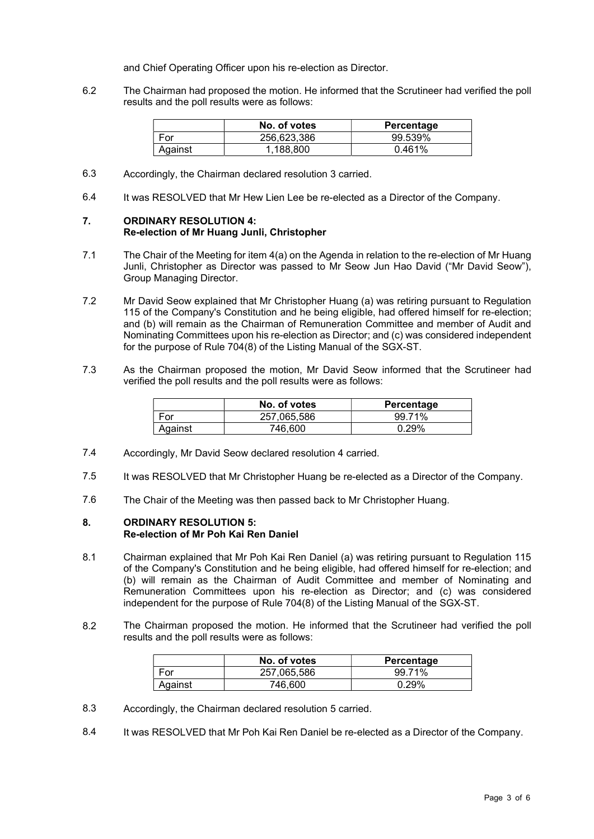and Chief Operating Officer upon his re-election as Director.

6.2 The Chairman had proposed the motion. He informed that the Scrutineer had verified the poll results and the poll results were as follows:

|         | No. of votes | Percentage |
|---------|--------------|------------|
| For     | 256.623.386  | 99.539%    |
| Against | .188.800     | 0.461%     |

- 6.3 Accordingly, the Chairman declared resolution 3 carried.
- 6.4 It was RESOLVED that Mr Hew Lien Lee be re-elected as a Director of the Company.

## 7. ORDINARY RESOLUTION 4: Re-election of Mr Huang Junli, Christopher

- 7.1 The Chair of the Meeting for item 4(a) on the Agenda in relation to the re-election of Mr Huang Junli, Christopher as Director was passed to Mr Seow Jun Hao David ("Mr David Seow"), Group Managing Director.
- 7.2 Mr David Seow explained that Mr Christopher Huang (a) was retiring pursuant to Regulation 115 of the Company's Constitution and he being eligible, had offered himself for re-election; and (b) will remain as the Chairman of Remuneration Committee and member of Audit and Nominating Committees upon his re-election as Director; and (c) was considered independent for the purpose of Rule 704(8) of the Listing Manual of the SGX-ST.
- 7.3 As the Chairman proposed the motion, Mr David Seow informed that the Scrutineer had verified the poll results and the poll results were as follows:

|         | No. of votes | Percentage |
|---------|--------------|------------|
| For     | 257.065.586  | 99.71%     |
| Against | 746.600      | 0.29%      |

- 7.4 Accordingly, Mr David Seow declared resolution 4 carried.
- 7.5 It was RESOLVED that Mr Christopher Huang be re-elected as a Director of the Company.
- 7.6 The Chair of the Meeting was then passed back to Mr Christopher Huang.

### 8. ORDINARY RESOLUTION 5: Re-election of Mr Poh Kai Ren Daniel

- 8.1 Chairman explained that Mr Poh Kai Ren Daniel (a) was retiring pursuant to Regulation 115 of the Company's Constitution and he being eligible, had offered himself for re-election; and (b) will remain as the Chairman of Audit Committee and member of Nominating and Remuneration Committees upon his re-election as Director; and (c) was considered independent for the purpose of Rule 704(8) of the Listing Manual of the SGX-ST.
- 8.2 The Chairman proposed the motion. He informed that the Scrutineer had verified the poll results and the poll results were as follows:

|         | No. of votes | Percentage |
|---------|--------------|------------|
| For     | 257,065,586  | 99 71%     |
| Against | 746.600      | $0.29\%$   |

- 8.3 Accordingly, the Chairman declared resolution 5 carried.
- 8.4 It was RESOLVED that Mr Poh Kai Ren Daniel be re-elected as a Director of the Company.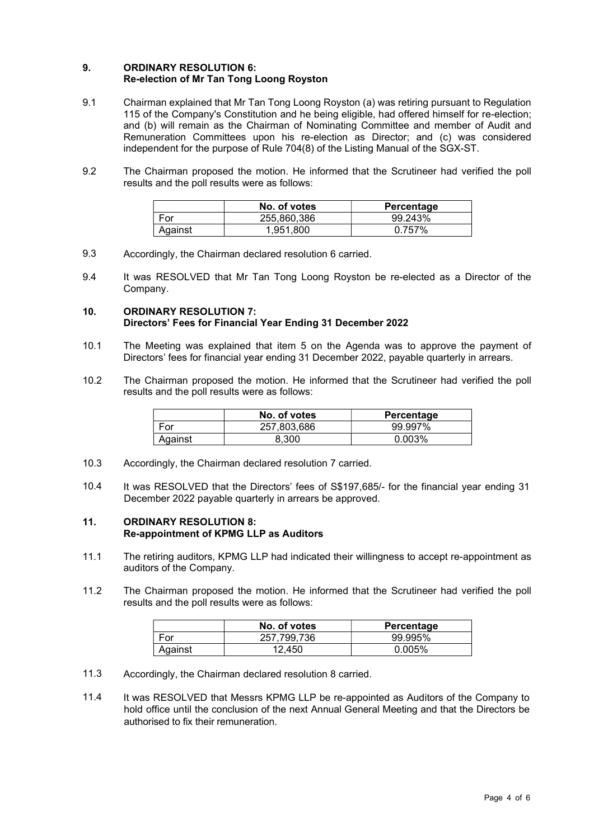## 9. ORDINARY RESOLUTION 6: Re-election of Mr Tan Tong Loong Royston

- 9.1 Chairman explained that Mr Tan Tong Loong Royston (a) was retiring pursuant to Regulation 115 of the Company's Constitution and he being eligible, had offered himself for re-election; and (b) will remain as the Chairman of Nominating Committee and member of Audit and Remuneration Committees upon his re-election as Director; and (c) was considered independent for the purpose of Rule 704(8) of the Listing Manual of the SGX-ST.
- 9.2 The Chairman proposed the motion. He informed that the Scrutineer had verified the poll results and the poll results were as follows:

|         | No. of votes | Percentage |
|---------|--------------|------------|
| For     | 255.860.386  | 99.243%    |
| Against | 1.951.800    | በ 757%     |

- 9.3 Accordingly, the Chairman declared resolution 6 carried.
- 9.4 It was RESOLVED that Mr Tan Tong Loong Royston be re-elected as a Director of the Company.

## 10. ORDINARY RESOLUTION 7: Directors' Fees for Financial Year Ending 31 December 2022

- 10.1 The Meeting was explained that item 5 on the Agenda was to approve the payment of Directors' fees for financial year ending 31 December 2022, payable quarterly in arrears.
- 10.2 The Chairman proposed the motion. He informed that the Scrutineer had verified the poll results and the poll results were as follows:

|         | No. of votes | Percentage |
|---------|--------------|------------|
| For     | 257,803,686  | 99.997%    |
| Against | 8.300        | 0.003%     |

- 10.3 Accordingly, the Chairman declared resolution 7 carried.
- 10.4 It was RESOLVED that the Directors' fees of S\$197,685/- for the financial year ending 31 December 2022 payable quarterly in arrears be approved.

### 11. ORDINARY RESOLUTION 8: Re-appointment of KPMG LLP as Auditors

- 11.1 The retiring auditors, KPMG LLP had indicated their willingness to accept re-appointment as auditors of the Company.
- 11.2 The Chairman proposed the motion. He informed that the Scrutineer had verified the poll results and the poll results were as follows:

|         | No. of votes | Percentage |
|---------|--------------|------------|
| For     | 257.799.736  | 99.995%    |
| Against | 12.450       | $0.005\%$  |

- 11.3 Accordingly, the Chairman declared resolution 8 carried.
- 11.4 It was RESOLVED that Messrs KPMG LLP be re-appointed as Auditors of the Company to hold office until the conclusion of the next Annual General Meeting and that the Directors be authorised to fix their remuneration.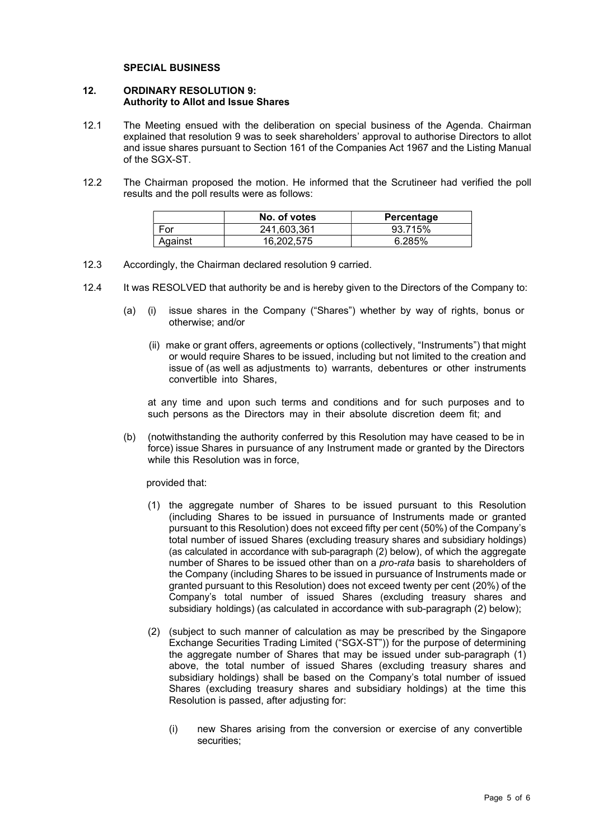### SPECIAL BUSINESS

### 12. ORDINARY RESOLUTION 9: Authority to Allot and Issue Shares

- 12.1 The Meeting ensued with the deliberation on special business of the Agenda. Chairman explained that resolution 9 was to seek shareholders' approval to authorise Directors to allot and issue shares pursuant to Section 161 of the Companies Act 1967 and the Listing Manual of the SGX-ST.
- 12.2 The Chairman proposed the motion. He informed that the Scrutineer had verified the poll results and the poll results were as follows:

|         | No. of votes | Percentage |
|---------|--------------|------------|
| For     | 241.603.361  | 93.715%    |
| Against | 16,202,575   | 6.285%     |

- 12.3 Accordingly, the Chairman declared resolution 9 carried.
- 12.4 It was RESOLVED that authority be and is hereby given to the Directors of the Company to:
	- (a) (i) issue shares in the Company ("Shares") whether by way of rights, bonus or otherwise; and/or
		- (ii) make or grant offers, agreements or options (collectively, "Instruments") that might or would require Shares to be issued, including but not limited to the creation and issue of (as well as adjustments to) warrants, debentures or other instruments convertible into Shares,

at any time and upon such terms and conditions and for such purposes and to such persons as the Directors may in their absolute discretion deem fit; and

(b) (notwithstanding the authority conferred by this Resolution may have ceased to be in force) issue Shares in pursuance of any Instrument made or granted by the Directors while this Resolution was in force,

provided that:

- (1) the aggregate number of Shares to be issued pursuant to this Resolution (including Shares to be issued in pursuance of Instruments made or granted pursuant to this Resolution) does not exceed fifty per cent (50%) of the Company's total number of issued Shares (excluding treasury shares and subsidiary holdings) (as calculated in accordance with sub-paragraph (2) below), of which the aggregate number of Shares to be issued other than on a *pro-rata* basis to shareholders of the Company (including Shares to be issued in pursuance of Instruments made or granted pursuant to this Resolution) does not exceed twenty per cent (20%) of the Company's total number of issued Shares (excluding treasury shares and subsidiary holdings) (as calculated in accordance with sub-paragraph (2) below);
- (2) (subject to such manner of calculation as may be prescribed by the Singapore Exchange Securities Trading Limited ("SGX-ST")) for the purpose of determining the aggregate number of Shares that may be issued under sub-paragraph (1) above, the total number of issued Shares (excluding treasury shares and subsidiary holdings) shall be based on the Company's total number of issued Shares (excluding treasury shares and subsidiary holdings) at the time this Resolution is passed, after adjusting for:
	- (i) new Shares arising from the conversion or exercise of any convertible securities;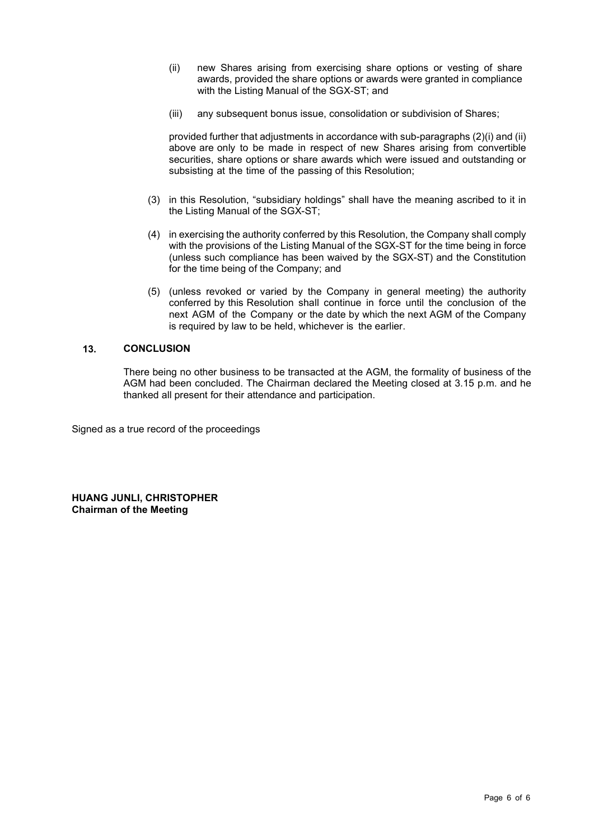- (ii) new Shares arising from exercising share options or vesting of share awards, provided the share options or awards were granted in compliance with the Listing Manual of the SGX-ST; and
- (iii) any subsequent bonus issue, consolidation or subdivision of Shares;

provided further that adjustments in accordance with sub-paragraphs (2)(i) and (ii) above are only to be made in respect of new Shares arising from convertible securities, share options or share awards which were issued and outstanding or subsisting at the time of the passing of this Resolution;

- (3) in this Resolution, "subsidiary holdings" shall have the meaning ascribed to it in the Listing Manual of the SGX-ST;
- (4) in exercising the authority conferred by this Resolution, the Company shall comply with the provisions of the Listing Manual of the SGX-ST for the time being in force (unless such compliance has been waived by the SGX-ST) and the Constitution for the time being of the Company; and
- (5) (unless revoked or varied by the Company in general meeting) the authority conferred by this Resolution shall continue in force until the conclusion of the next AGM of the Company or the date by which the next AGM of the Company is required by law to be held, whichever is the earlier.

# 13. CONCLUSION

There being no other business to be transacted at the AGM, the formality of business of the AGM had been concluded. The Chairman declared the Meeting closed at 3.15 p.m. and he thanked all present for their attendance and participation.

Signed as a true record of the proceedings

HUANG JUNLI, CHRISTOPHER Chairman of the Meeting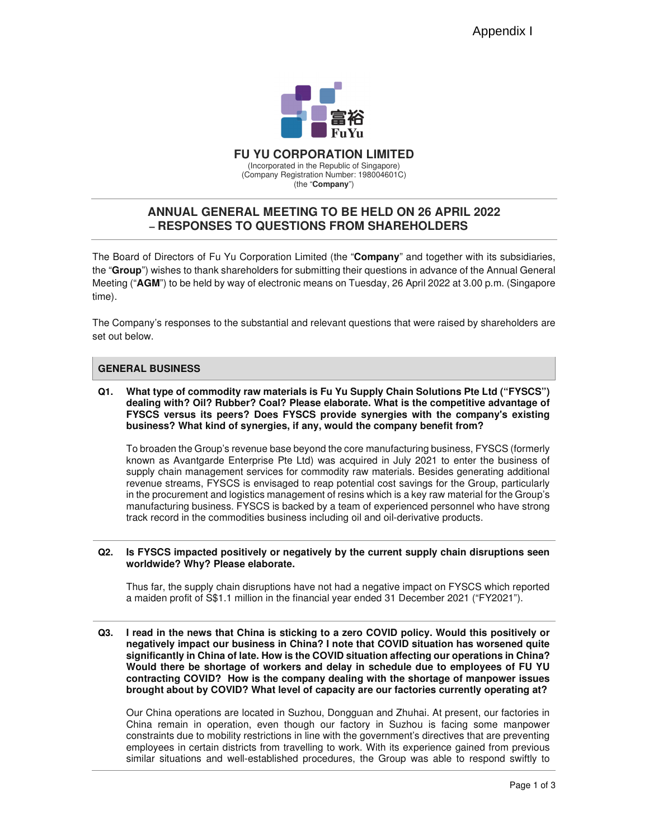

**FU YU CORPORATION LIMITED**  (Incorporated in the Republic of Singapore) (Company Registration Number: 198004601C) (the "**Company**")

# **ANNUAL GENERAL MEETING TO BE HELD ON 26 APRIL 2022 – RESPONSES TO QUESTIONS FROM SHAREHOLDERS**

The Board of Directors of Fu Yu Corporation Limited (the "**Company**" and together with its subsidiaries, the "**Group**") wishes to thank shareholders for submitting their questions in advance of the Annual General Meeting ("**AGM**") to be held by way of electronic means on Tuesday, 26 April 2022 at 3.00 p.m. (Singapore time).

The Company's responses to the substantial and relevant questions that were raised by shareholders are set out below.

## **GENERAL BUSINESS**

**Q1. What type of commodity raw materials is Fu Yu Supply Chain Solutions Pte Ltd ("FYSCS") dealing with? Oil? Rubber? Coal? Please elaborate. What is the competitive advantage of FYSCS versus its peers? Does FYSCS provide synergies with the company's existing business? What kind of synergies, if any, would the company benefit from?** 

To broaden the Group's revenue base beyond the core manufacturing business, FYSCS (formerly known as Avantgarde Enterprise Pte Ltd) was acquired in July 2021 to enter the business of supply chain management services for commodity raw materials. Besides generating additional revenue streams, FYSCS is envisaged to reap potential cost savings for the Group, particularly in the procurement and logistics management of resins which is a key raw material for the Group's manufacturing business. FYSCS is backed by a team of experienced personnel who have strong track record in the commodities business including oil and oil-derivative products.

### **Q2. Is FYSCS impacted positively or negatively by the current supply chain disruptions seen worldwide? Why? Please elaborate.**

Thus far, the supply chain disruptions have not had a negative impact on FYSCS which reported a maiden profit of S\$1.1 million in the financial year ended 31 December 2021 ("FY2021").

**Q3. I read in the news that China is sticking to a zero COVID policy. Would this positively or negatively impact our business in China? I note that COVID situation has worsened quite significantly in China of late. How is the COVID situation affecting our operations in China? Would there be shortage of workers and delay in schedule due to employees of FU YU contracting COVID? How is the company dealing with the shortage of manpower issues brought about by COVID? What level of capacity are our factories currently operating at?** 

Our China operations are located in Suzhou, Dongguan and Zhuhai. At present, our factories in China remain in operation, even though our factory in Suzhou is facing some manpower constraints due to mobility restrictions in line with the government's directives that are preventing employees in certain districts from travelling to work. With its experience gained from previous similar situations and well-established procedures, the Group was able to respond swiftly to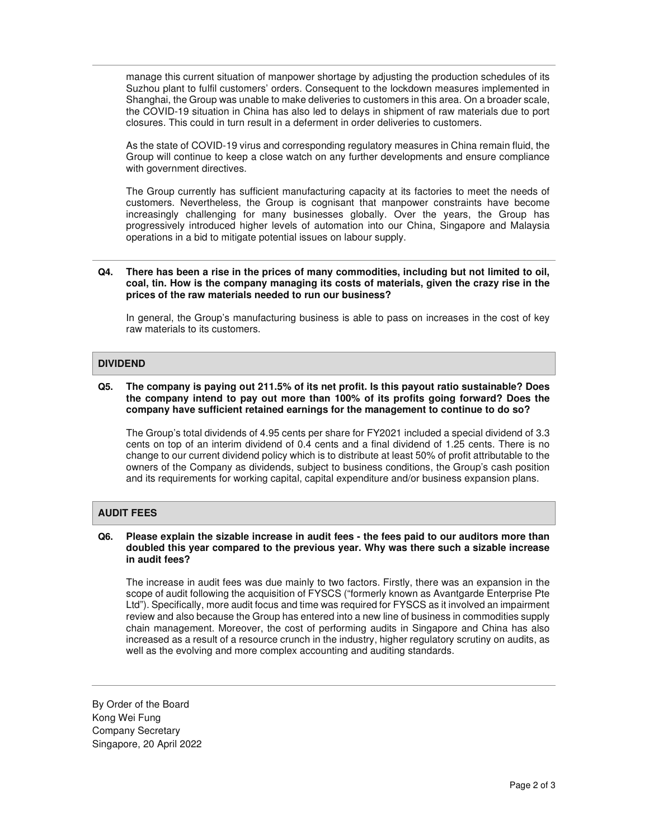manage this current situation of manpower shortage by adjusting the production schedules of its Suzhou plant to fulfil customers' orders. Consequent to the lockdown measures implemented in Shanghai, the Group was unable to make deliveries to customers in this area. On a broader scale, the COVID-19 situation in China has also led to delays in shipment of raw materials due to port closures. This could in turn result in a deferment in order deliveries to customers.

As the state of COVID-19 virus and corresponding regulatory measures in China remain fluid, the Group will continue to keep a close watch on any further developments and ensure compliance with government directives.

The Group currently has sufficient manufacturing capacity at its factories to meet the needs of customers. Nevertheless, the Group is cognisant that manpower constraints have become increasingly challenging for many businesses globally. Over the years, the Group has progressively introduced higher levels of automation into our China, Singapore and Malaysia operations in a bid to mitigate potential issues on labour supply.

### **Q4. There has been a rise in the prices of many commodities, including but not limited to oil, coal, tin. How is the company managing its costs of materials, given the crazy rise in the prices of the raw materials needed to run our business?**

In general, the Group's manufacturing business is able to pass on increases in the cost of key raw materials to its customers.

## **DIVIDEND**

### **Q5. The company is paying out 211.5% of its net profit. Is this payout ratio sustainable? Does the company intend to pay out more than 100% of its profits going forward? Does the company have sufficient retained earnings for the management to continue to do so?**

The Group's total dividends of 4.95 cents per share for FY2021 included a special dividend of 3.3 cents on top of an interim dividend of 0.4 cents and a final dividend of 1.25 cents. There is no change to our current dividend policy which is to distribute at least 50% of profit attributable to the owners of the Company as dividends, subject to business conditions, the Group's cash position and its requirements for working capital, capital expenditure and/or business expansion plans.

### **AUDIT FEES**

#### **Q6. Please explain the sizable increase in audit fees - the fees paid to our auditors more than doubled this year compared to the previous year. Why was there such a sizable increase in audit fees?**

The increase in audit fees was due mainly to two factors. Firstly, there was an expansion in the scope of audit following the acquisition of FYSCS ("formerly known as Avantgarde Enterprise Pte Ltd"). Specifically, more audit focus and time was required for FYSCS as it involved an impairment review and also because the Group has entered into a new line of business in commodities supply chain management. Moreover, the cost of performing audits in Singapore and China has also increased as a result of a resource crunch in the industry, higher regulatory scrutiny on audits, as well as the evolving and more complex accounting and auditing standards.

By Order of the Board Kong Wei Fung Company Secretary Singapore, 20 April 2022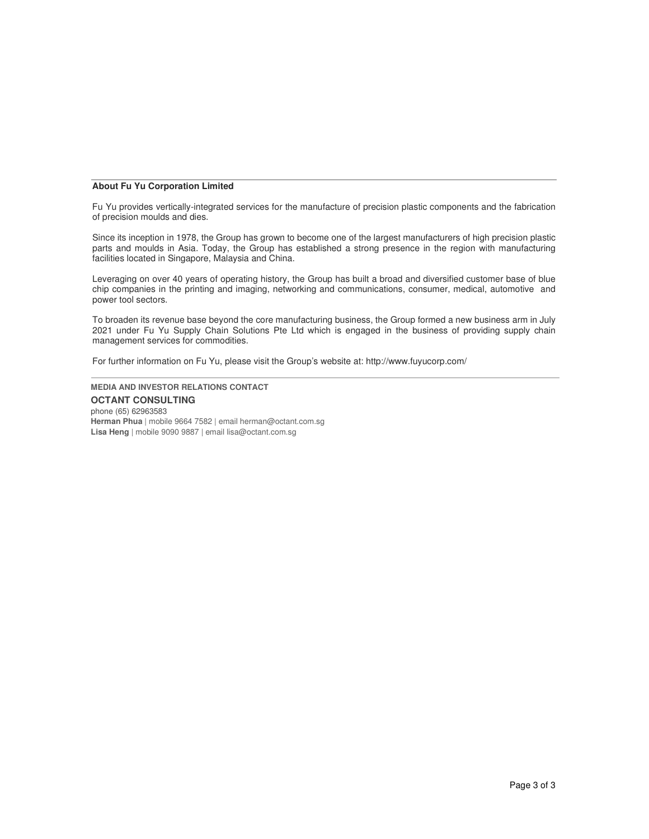#### **About Fu Yu Corporation Limited**

Fu Yu provides vertically-integrated services for the manufacture of precision plastic components and the fabrication of precision moulds and dies.

Since its inception in 1978, the Group has grown to become one of the largest manufacturers of high precision plastic parts and moulds in Asia. Today, the Group has established a strong presence in the region with manufacturing facilities located in Singapore, Malaysia and China.

Leveraging on over 40 years of operating history, the Group has built a broad and diversified customer base of blue chip companies in the printing and imaging, networking and communications, consumer, medical, automotive and power tool sectors.

To broaden its revenue base beyond the core manufacturing business, the Group formed a new business arm in July 2021 under Fu Yu Supply Chain Solutions Pte Ltd which is engaged in the business of providing supply chain management services for commodities.

For further information on Fu Yu, please visit the Group's website at: http://www.fuyucorp.com/

**MEDIA AND INVESTOR RELATIONS CONTACT OCTANT CONSULTING** phone (65) 62963583 **Herman Phua** | mobile 9664 7582 | email herman@octant.com.sg **Lisa Heng** | mobile 9090 9887 | email lisa@octant.com.sg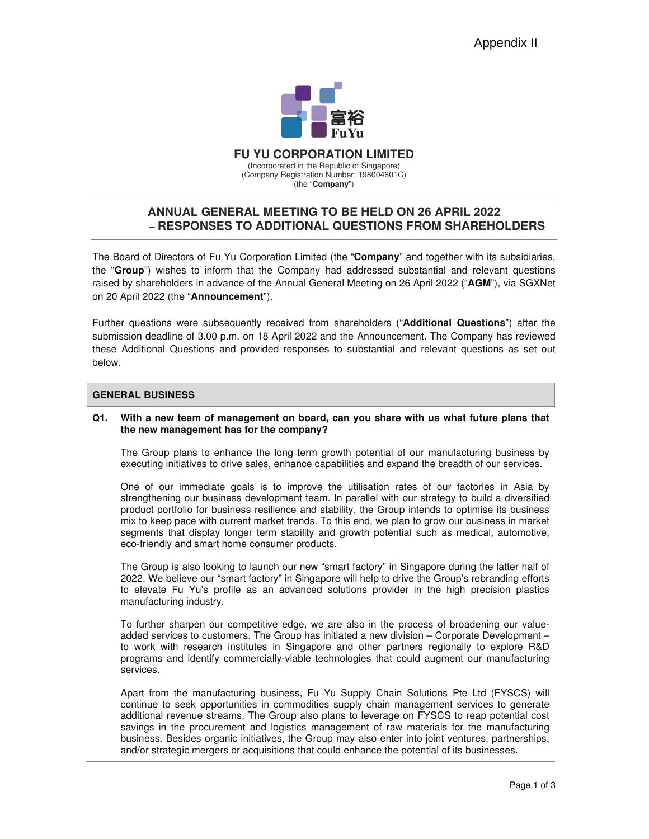

**FU YU CORPORATION LIMITED**  (Incorporated in the Republic of Singapore) (Company Registration Number: 198004601C) (the "**Company**")

# **ANNUAL GENERAL MEETING TO BE HELD ON 26 APRIL 2022 – RESPONSES TO ADDITIONAL QUESTIONS FROM SHAREHOLDERS**

The Board of Directors of Fu Yu Corporation Limited (the "**Company**" and together with its subsidiaries, the "**Group**") wishes to inform that the Company had addressed substantial and relevant questions raised by shareholders in advance of the Annual General Meeting on 26 April 2022 ("**AGM**"), via SGXNet on 20 April 2022 (the "**Announcement**").

Further questions were subsequently received from shareholders ("**Additional Questions**") after the submission deadline of 3.00 p.m. on 18 April 2022 and the Announcement. The Company has reviewed these Additional Questions and provided responses to substantial and relevant questions as set out below.

### **GENERAL BUSINESS**

### **Q1. With a new team of management on board, can you share with us what future plans that the new management has for the company?**

The Group plans to enhance the long term growth potential of our manufacturing business by executing initiatives to drive sales, enhance capabilities and expand the breadth of our services.

One of our immediate goals is to improve the utilisation rates of our factories in Asia by strengthening our business development team. In parallel with our strategy to build a diversified product portfolio for business resilience and stability, the Group intends to optimise its business mix to keep pace with current market trends. To this end, we plan to grow our business in market segments that display longer term stability and growth potential such as medical, automotive, eco-friendly and smart home consumer products.

The Group is also looking to launch our new "smart factory" in Singapore during the latter half of 2022. We believe our "smart factory" in Singapore will help to drive the Group's rebranding efforts to elevate Fu Yu's profile as an advanced solutions provider in the high precision plastics manufacturing industry.

To further sharpen our competitive edge, we are also in the process of broadening our valueadded services to customers. The Group has initiated a new division – Corporate Development – to work with research institutes in Singapore and other partners regionally to explore R&D programs and identify commercially-viable technologies that could augment our manufacturing services.

Apart from the manufacturing business, Fu Yu Supply Chain Solutions Pte Ltd (FYSCS) will continue to seek opportunities in commodities supply chain management services to generate additional revenue streams. The Group also plans to leverage on FYSCS to reap potential cost savings in the procurement and logistics management of raw materials for the manufacturing business. Besides organic initiatives, the Group may also enter into joint ventures, partnerships, and/or strategic mergers or acquisitions that could enhance the potential of its businesses.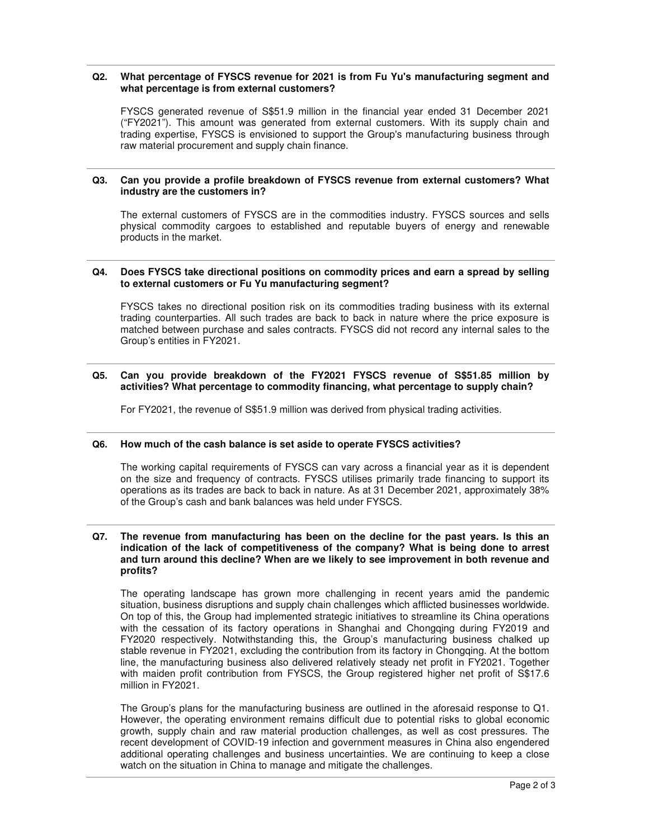### **Q2. What percentage of FYSCS revenue for 2021 is from Fu Yu's manufacturing segment and what percentage is from external customers?**

FYSCS generated revenue of S\$51.9 million in the financial year ended 31 December 2021 ("FY2021"). This amount was generated from external customers. With its supply chain and trading expertise, FYSCS is envisioned to support the Group's manufacturing business through raw material procurement and supply chain finance.

### **Q3. Can you provide a profile breakdown of FYSCS revenue from external customers? What industry are the customers in?**

The external customers of FYSCS are in the commodities industry. FYSCS sources and sells physical commodity cargoes to established and reputable buyers of energy and renewable products in the market.

#### **Q4. Does FYSCS take directional positions on commodity prices and earn a spread by selling to external customers or Fu Yu manufacturing segment?**

FYSCS takes no directional position risk on its commodities trading business with its external trading counterparties. All such trades are back to back in nature where the price exposure is matched between purchase and sales contracts. FYSCS did not record any internal sales to the Group's entities in FY2021.

### **Q5. Can you provide breakdown of the FY2021 FYSCS revenue of S\$51.85 million by activities? What percentage to commodity financing, what percentage to supply chain?**

For FY2021, the revenue of S\$51.9 million was derived from physical trading activities.

### **Q6. How much of the cash balance is set aside to operate FYSCS activities?**

The working capital requirements of FYSCS can vary across a financial year as it is dependent on the size and frequency of contracts. FYSCS utilises primarily trade financing to support its operations as its trades are back to back in nature. As at 31 December 2021, approximately 38% of the Group's cash and bank balances was held under FYSCS.

#### **Q7. The revenue from manufacturing has been on the decline for the past years. Is this an indication of the lack of competitiveness of the company? What is being done to arrest and turn around this decline? When are we likely to see improvement in both revenue and profits?**

The operating landscape has grown more challenging in recent years amid the pandemic situation, business disruptions and supply chain challenges which afflicted businesses worldwide. On top of this, the Group had implemented strategic initiatives to streamline its China operations with the cessation of its factory operations in Shanghai and Chongqing during FY2019 and FY2020 respectively. Notwithstanding this, the Group's manufacturing business chalked up stable revenue in FY2021, excluding the contribution from its factory in Chongqing. At the bottom line, the manufacturing business also delivered relatively steady net profit in FY2021. Together with maiden profit contribution from FYSCS, the Group registered higher net profit of S\$17.6 million in FY2021.

The Group's plans for the manufacturing business are outlined in the aforesaid response to Q1. However, the operating environment remains difficult due to potential risks to global economic growth, supply chain and raw material production challenges, as well as cost pressures. The recent development of COVID-19 infection and government measures in China also engendered additional operating challenges and business uncertainties. We are continuing to keep a close watch on the situation in China to manage and mitigate the challenges.